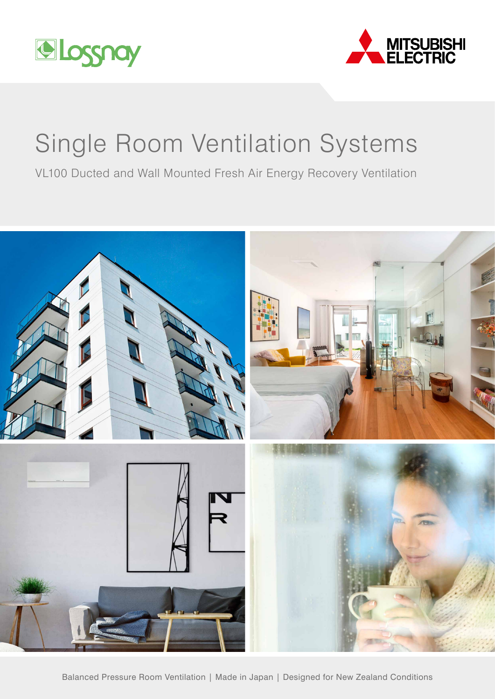



# Single Room Ventilation Systems

VL100 Ducted and Wall Mounted Fresh Air Energy Recovery Ventilation

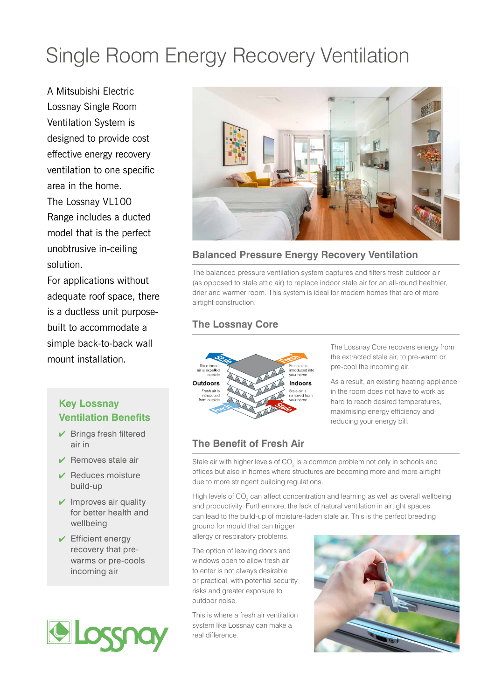# Single Room Energy Recovery Ventilation

A Mitsubishi Electric Lossnay Single Room Ventilation System is designed to provide cost effective energy recovery ventilation to one specific area in the home. The Lossnay VL100 Range includes a ducted model that is the perfect unobtrusive in-ceiling solution.

For applications without adequate roof space, there is a ductless unit purposebuilt to accommodate a simple back-to-back wall mount installation.

# **Key Lossnay Ventilation Benefits**

- $\vee$  Brings fresh filtered air in
- $\vee$  Removes stale air
- $\vee$  Reduces moisture build-up
- $\vee$  Improves air quality for better health and wellbeing
- $\sqrt{\phantom{a}}$  Efficient energy recovery that prewarms or pre-cools incoming air





### **Balanced Pressure Energy Recovery Ventilation**

The balanced pressure ventilation system captures and filters fresh outdoor air (as opposed to stale attic air) to replace indoor stale air for an all-round healthier, drier and warmer room. This system is ideal for modern homes that are of more airtight construction.

### **The Lossnay Core**



The Lossnay Core recovers energy from the extracted stale air, to pre-warm or pre-cool the incoming air.

As a result, an existing heating appliance in the room does not have to work as hard to reach desired temperatures, maximising energy efficiency and reducing your energy bill.

# **The Benefit of Fresh Air**

Stale air with higher levels of  $CO<sub>2</sub>$  is a common problem not only in schools and offices but also in homes where structures are becoming more and more airtight due to more stringent building regulations.

High levels of CO<sub>2</sub> can affect concentration and learning as well as overall wellbeing and productivity. Furthermore, the lack of natural ventilation in airtight spaces can lead to the build-up of moisture-laden stale air. This is the perfect breeding

ground for mould that can trigger allergy or respiratory problems.

The option of leaving doors and windows open to allow fresh air to enter is not always desirable or practical, with potential security risks and greater exposure to outdoor noise.

This is where a fresh air ventilation system like Lossnay can make a real difference.

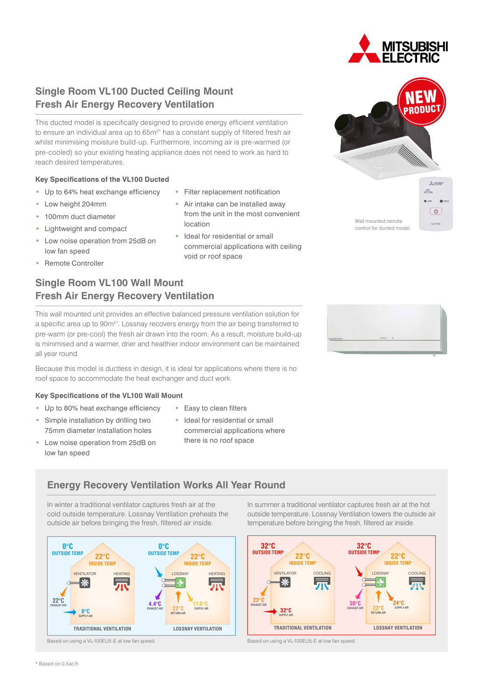# **Single Room VL100 Ducted Ceiling Mount Fresh Air Energy Recovery Ventilation**

This ducted model is specifically designed to provide energy efficient ventilation to ensure an individual area up to  $65m<sup>2*</sup>$  has a constant supply of filtered fresh air whilst minimising moisture build-up. Furthermore, incoming air is pre-warmed (or pre-cooled) so your existing heating appliance does not need to work as hard to reach desired temperatures.

#### **Key Specifications of the VL100 Ducted**

- Up to 64% heat exchange efficiency
- Low height 204mm
- 100mm duct diameter
- Lightweight and compact
- Low noise operation from 25dB on low fan speed
- Remote Controller

## **Single Room VL100 Wall Mount Fresh Air Energy Recovery Ventilation**

This wall mounted unit provides an effective balanced pressure ventilation solution for a specific area up to 90m<sup>2\*</sup>. Lossnay recovers energy from the air being transferred to pre-warm (or pre-cool) the fresh air drawn into the room. As a result, moisture build-up is minimised and a warmer, drier and healthier indoor environment can be maintained all year round.

Because this model is ductless in design, it is ideal for applications where there is no roof space to accommodate the heat exchanger and duct work.

#### **Key Specifications of the VL100 Wall Mount**

- Up to 80% heat exchange efficiency
- Simple installation by drilling two 75mm diameter installation holes
- Low noise operation from 25dB on low fan speed
- Easy to clean filters
- Ideal for residential or small commercial applications where there is no roof space

#### **Energy Recovery Ventilation Works All Year Round**

In winter a traditional ventilator captures fresh air at the cold outside temperature. Lossnay Ventilation preheats the outside air before bringing the fresh, filtered air inside.



# • Filter replacement notification

- Air intake can be installed away from the unit in the most convenient location
- Ideal for residential or small commercial applications with ceiling void or roof space
	-



In summer a traditional ventilator captures fresh air at the hot outside temperature. Lossnay Ventilation lowers the outside air temperature before bringing the fresh, filtered air inside.